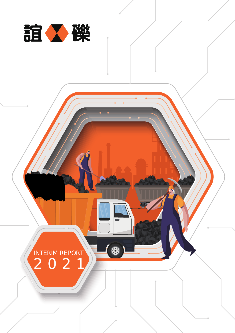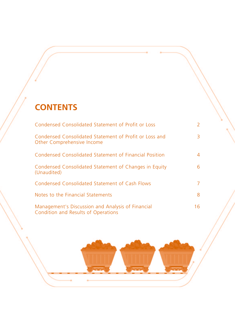# **CONTENTS**

| Condensed Consolidated Statement of Profit or Loss                                       | 2  |
|------------------------------------------------------------------------------------------|----|
| Condensed Consolidated Statement of Profit or Loss and<br>Other Comprehensive Income     | 3  |
| Condensed Consolidated Statement of Financial Position                                   | 4  |
| Condensed Consolidated Statement of Changes in Equity<br>(Unaudited)                     | 6  |
| Condensed Consolidated Statement of Cash Flows                                           | 7  |
| Notes to the Financial Statements                                                        | 8  |
| Management's Discussion and Analysis of Financial<br>Condition and Results of Operations | 16 |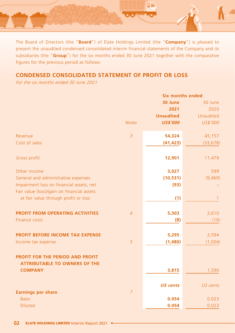

The Board of Directors (the "**Board**") of Elate Holdings Limited (the "**Company**") is pleased to present the unaudited condensed consolidated interim financial statements of the Company and its subsidiaries (the "**Group**") for the six months ended 30 June 2021 together with the comparative figures for the previous period as follows:

# **CONDENSED CONSOLIDATED STATEMENT OF PROFIT OR LOSS**

For the six months ended 30 June 2021

|                                                                          |                | <b>Six months ended</b> |                  |  |
|--------------------------------------------------------------------------|----------------|-------------------------|------------------|--|
|                                                                          |                | 30 June                 | 30 June          |  |
|                                                                          |                | 2021                    | 2020             |  |
|                                                                          |                | <b>Unaudited</b>        | <b>Unaudited</b> |  |
|                                                                          | <b>Notes</b>   | <b>US\$'000</b>         | US\$'000         |  |
| Revenue                                                                  | $\overline{3}$ | 54,324                  | 45,157           |  |
| Cost of sales                                                            |                | (41, 423)               | (33, 678)        |  |
| Gross profit                                                             |                | 12,901                  | 11,479           |  |
| Other income                                                             |                | 3,027                   | 599              |  |
| General and administrative expenses                                      |                | (10, 531)               | (9,469)          |  |
| Impairment loss on financial assets, net                                 |                | (93)                    |                  |  |
| Fair value (loss)/gain on financial assets                               |                |                         |                  |  |
| at fair value through profit or loss                                     |                | (1)                     | 1                |  |
| <b>PROFIT FROM OPERATING ACTIVITIES</b>                                  | $\overline{4}$ | 5,303                   | 2,610            |  |
| Finance costs                                                            |                | (8)                     | (16)             |  |
| <b>PROFIT BEFORE INCOME TAX EXPENSE</b>                                  |                | 5,295                   | 2,594            |  |
| Income tax expense                                                       | 5              | (1,480)                 | (1,004)          |  |
|                                                                          |                |                         |                  |  |
| PROFIT FOR THE PERIOD AND PROFIT<br><b>ATTRIBUTABLE TO OWNERS OF THE</b> |                |                         |                  |  |
| <b>COMPANY</b>                                                           |                | 3,815                   | 1,590            |  |
|                                                                          |                | <b>US cents</b>         | US cents         |  |
| <b>Earnings per share</b>                                                | $\overline{7}$ |                         |                  |  |
| <b>Basic</b>                                                             |                | 0.054                   | 0.023            |  |
| <b>Diluted</b>                                                           |                | 0.054                   | 0.023            |  |
|                                                                          |                |                         |                  |  |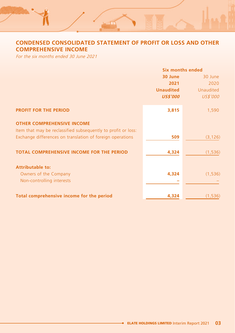# **CONDENSED CONSOLIDATED STATEMENT OF PROFIT OR LOSS AND OTHER COMPREHENSIVE INCOME**

 $-1$ 

For the six months ended 30 June 2021

|                                                               | Six months ended |           |
|---------------------------------------------------------------|------------------|-----------|
|                                                               | 30 June          | 30 June   |
|                                                               | 2021             | 2020      |
|                                                               | <b>Unaudited</b> | Unaudited |
|                                                               | <b>US\$'000</b>  | US\$'000  |
| <b>PROFIT FOR THE PERIOD</b>                                  | 3,815            | 1,590     |
| <b>OTHER COMPREHENSIVE INCOME</b>                             |                  |           |
| Item that may be reclassified subsequently to profit or loss: |                  |           |
| Exchange differences on translation of foreign operations     | 509              | (3, 126)  |
| <b>TOTAL COMPREHENSIVE INCOME FOR THE PERIOD</b>              | 4,324            | (1, 536)  |
|                                                               |                  |           |
| <b>Attributable to:</b>                                       |                  |           |
| Owners of the Company                                         | 4,324            | (1, 536)  |
| Non-controlling interests                                     |                  |           |
| Total comprehensive income for the period                     | 4,324            | (1, 536)  |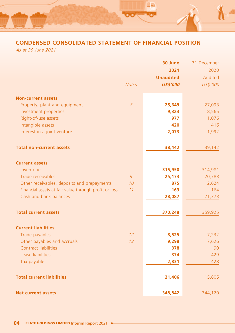

# **CONDENSED CONSOLIDATED STATEMENT OF FINANCIAL POSITION**

As at 30 June 2021

|                                                       |              | 30 June          | 31 December |
|-------------------------------------------------------|--------------|------------------|-------------|
|                                                       |              | 2021             | 2020        |
|                                                       |              | <b>Unaudited</b> | Audited     |
|                                                       | <b>Notes</b> | <b>US\$'000</b>  | US\$'000    |
|                                                       |              |                  |             |
| <b>Non-current assets</b>                             |              |                  |             |
| Property, plant and equipment                         | 8            | 25,649           | 27,093      |
| Investment properties                                 |              | 9,323            | 8,565       |
| Right-of-use assets                                   |              | 977              | 1,076       |
| Intangible assets                                     |              | 420              | 416         |
| Interest in a joint venture                           |              | 2,073            | 1,992       |
|                                                       |              |                  |             |
| <b>Total non-current assets</b>                       |              | 38,442           | 39,142      |
|                                                       |              |                  |             |
| <b>Current assets</b>                                 |              |                  |             |
| Inventories                                           |              | 315,950          | 314,981     |
| Trade receivables                                     | 9            | 25,173           | 20,783      |
| Other receivables, deposits and prepayments           | 10           | 875              | 2,624       |
| Financial assets at fair value through profit or loss | 11           | 163              | 164         |
| Cash and bank balances                                |              | 28,087           | 21,373      |
|                                                       |              |                  |             |
| <b>Total current assets</b>                           |              | 370,248          | 359,925     |
|                                                       |              |                  |             |
| <b>Current liabilities</b>                            |              |                  |             |
| Trade payables                                        | 12           | 8,525            | 7,232       |
| Other payables and accruals                           | 13           | 9,298            | 7,626       |
| Contract liabilities                                  |              | 378              | 90          |
| Lease liabilities                                     |              | 374              | 429         |
| Tax payable                                           |              | 2,831            | 428         |
|                                                       |              |                  |             |
| <b>Total current liabilities</b>                      |              |                  |             |
|                                                       |              | 21,406           | 15,805      |
|                                                       |              |                  |             |
| <b>Net current assets</b>                             |              | 348,842          | 344,120     |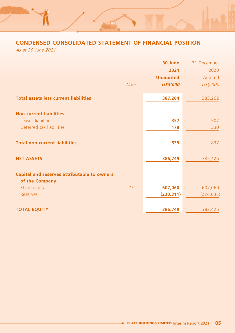# **CONDENSED CONSOLIDATED STATEMENT OF FINANCIAL POSITION**

 $\Box$ 

As at 30 June 2021

|                                              |             | 30 June          | 31 December |
|----------------------------------------------|-------------|------------------|-------------|
|                                              |             | 2021             | 2020        |
|                                              |             | <b>Unaudited</b> | Audited     |
|                                              | <b>Note</b> | <b>US\$'000</b>  | US\$'000    |
| <b>Total assets less current liabilities</b> |             | 387,284          | 383,262     |
| <b>Non-current liabilities</b>               |             |                  |             |
| Leases liabilities                           |             | 357              | 507         |
| Deferred tax liabilities                     |             | 178              | 330         |
| <b>Total non-current liabilities</b>         |             | 535              | 837         |
| <b>NET ASSETS</b>                            |             | 386,749          | 382,425     |
| Capital and reserves attributable to owners  |             |                  |             |
| of the Company                               |             |                  |             |
| Share capital                                | 15          | 607,060          | 607,060     |
| <b>Reserves</b>                              |             | (220, 311)       | (224, 635)  |
| <b>TOTAL EQUITY</b>                          |             | 386,749          | 382,425     |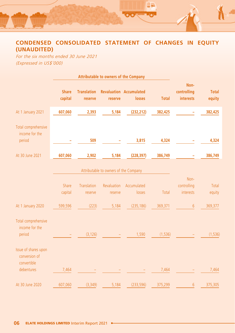

# **CONDENSED CONSOLIDATED STATEMENT OF CHANGES IN EQUITY (UNAUDITED)**

For the six months ended 30 June 2021 (Expressed in US\$'000)

|                                                                    |                         |                               | Attributable to owners of the Company                           |                                          |              |                                         |                        |
|--------------------------------------------------------------------|-------------------------|-------------------------------|-----------------------------------------------------------------|------------------------------------------|--------------|-----------------------------------------|------------------------|
|                                                                    | <b>Share</b><br>capital | <b>Translation</b><br>reserve | reserve                                                         | <b>Revaluation Accumulated</b><br>losses | <b>Total</b> | Non-<br>controlling<br><b>interests</b> | <b>Total</b><br>equity |
| At 1 January 2021                                                  | 607,060                 | 2,393                         | 5,184                                                           | (232, 212)                               | 382,425      |                                         | 382,425                |
| Total comprehensive<br>income for the<br>period                    |                         | 509                           |                                                                 | 3,815                                    | 4,324        |                                         | 4,324                  |
| At 30 June 2021                                                    | 607,060                 | 2,902                         | 5,184                                                           | (228, 397)                               | 386,749      |                                         | 386,749                |
|                                                                    | Share<br>capital        | <b>Translation</b><br>reserve | Attributable to owners of the Company<br>Revaluation<br>reserve | Accumulated<br>losses                    | Total        | Non-<br>controlling<br>interests        | Total<br>equity        |
| At 1 January 2020                                                  | 599,596                 | (223)                         | 5,184                                                           | (235, 186)                               | 369,371      | 6                                       | 369,377                |
| Total comprehensive<br>income for the<br>period                    |                         | (3, 126)                      |                                                                 | 1,590                                    | (1, 536)     |                                         | (1, 536)               |
| Issue of shares upon<br>conversion of<br>convertible<br>debentures | 7,464                   |                               |                                                                 |                                          | 7,464        |                                         | 7,464                  |
| At 30 June 2020                                                    | 607,060                 | (3, 349)                      | 5,184                                                           | (233, 596)                               | 375,299      | 6                                       | 375,305                |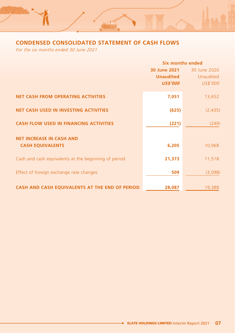# **CONDENSED CONSOLIDATED STATEMENT OF CASH FLOWS**

ਾ

For the six months ended 30 June 2021

|                                                      | Six months ended |                  |  |
|------------------------------------------------------|------------------|------------------|--|
|                                                      | 30 June 2021     | 30 June 2020     |  |
|                                                      | <b>Unaudited</b> | <b>Unaudited</b> |  |
|                                                      | <b>US\$'000</b>  | US\$'000         |  |
| <b>NET CASH FROM OPERATING ACTIVITIES</b>            | 7,051            | 13,652           |  |
| <b>NET CASH USED IN INVESTING ACTIVITIES</b>         | (625)            | (2, 435)         |  |
| <b>CASH FLOW USED IN FINANCING ACTIVITIES</b>        | (221)            | (249)            |  |
| <b>NET INCREASE IN CASH AND</b>                      |                  |                  |  |
| <b>CASH EQUIVALENTS</b>                              | 6,205            | 10,968           |  |
| Cash and cash equivalents at the beginning of period | 21,373           | 11,518           |  |
| Effect of foreign exchange rate changes              | 509              | (3,098)          |  |
| CASH AND CASH EQUIVALENTS AT THE END OF PERIOD       | 28,087           | 19,388           |  |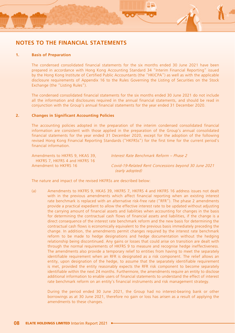

# **NOTES TO THE FINANCIAL STATEMENTS**

#### **1. Basis of Preparation**

The condensed consolidated financial statements for the six months ended 30 June 2021 have been prepared in accordance with Hong Kong Accounting Standard 34 "Interim Financial Reporting" issued by the Hong Kong Institute of Certified Public Accountants (the "HKICPA") as well as with the applicable disclosure requirements of Appendix 16 to the Rules Governing the Listing of Securities on the Stock Exchange (the "Listing Rules").

The condensed consolidated financial statements for the six months ended 30 June 2021 do not include all the information and disclosures required in the annual financial statements, and should be read in conjunction with the Group's annual financial statements for the year ended 31 December 2020.

### **2. Changes in Significant Accounting Policies**

The accounting policies adopted in the preparation of the interim condensed consolidated financial information are consistent with those applied in the preparation of the Group's annual consolidated financial statements for the year ended 31 December 2020, except for the adoption of the following revised Hong Kong Financial Reporting Standards ("HKFRSs") for the first time for the current period's financial information.

| Amendments to HKFRS 9, HKAS 39. | Interest Rate Benchmark Reform - Phase 2              |
|---------------------------------|-------------------------------------------------------|
| HKFRS 7, HKFRS 4 and HKFRS 16   |                                                       |
| Amendment to HKFRS 16           | Covid-19-Related Rent Concessions beyond 30 June 2021 |
|                                 | (early adopted)                                       |

The nature and impact of the revised HKFRSs are described below:

(a) Amendments to HKFRS 9, HKAS 39, HKFRS 7, HKFRS 4 and HKFRS 16 address issues not dealt with in the previous amendments which affect financial reporting when an existing interest rate benchmark is replaced with an alternative risk-free rate ("RFR"). The phase 2 amendments provide a practical expedient to allow the effective interest rate to be updated without adjusting the carrying amount of financial assets and liabilities when accounting for changes in the basis for determining the contractual cash flows of financial assets and liabilities, if the change is a direct consequence of the interest rate benchmark reform and the new basis for determining the contractual cash flows is economically equivalent to the previous basis immediately preceding the change. In addition, the amendments permit changes required by the interest rate benchmark reform to be made to hedge designations and hedge documentation without the hedging relationship being discontinued. Any gains or losses that could arise on transition are dealt with through the normal requirements of HKFRS 9 to measure and recognise hedge ineffectiveness. The amendments also provide a temporary relief to entities from having to meet the separately identifiable requirement when an RFR is designated as a risk component. The relief allows an entity, upon designation of the hedge, to assume that the separately identifiable requirement is met, provided the entity reasonably expects the RFR risk component to become separately identifiable within the next 24 months. Furthermore, the amendments require an entity to disclose additional information to enable users of financial statements to understand the effect of interest rate benchmark reform on an entity's financial instruments and risk management strategy.

During the period ended 30 June 2021, the Group had no interest-bearing bank or other borrowings as at 30 June 2021, therefore no gain or loss has arisen as a result of applying the amendments to these changes.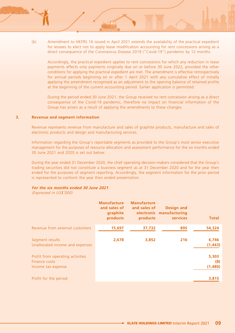(b) Amendment to HKFRS 16 issued in April 2021 extends the availability of the practical expedient for lessees to elect not to apply lease modification accounting for rent concessions arising as a direct consequence of the Coronavirus Disease 2019 ("Covid-19") pandemic by 12 months.

Accordingly, the practical expedient applies to rent concessions for which any reduction in lease payments affects only payments originally due on or before 30 June 2022, provided the other conditions for applying the practical expedient are met. The amendment is effective retrospectively for annual periods beginning on or after 1 April 2021 with any cumulative effect of initially applying the amendment recognised as an adjustment to the opening balance of retained profits at the beginning of the current accounting period. Earlier application is permitted.

During the period ended 30 June 2021, the Group received no rent concession arising as a direct consequence of the Covid-19 pandemic, therefore no impact on financial information of the Group has arisen as a result of applying the amendments to these changes.

#### **3. Revenue and segment information**

Revenue represents revenue from manufacture and sales of graphite products, manufacture and sales of electronic products and design and manufacturing services.

Information regarding the Group's reportable segments as provided to the Group's most senior executive management for the purposes of resource allocation and assessment performance for the six months ended 30 June 2021 and 2020 is set out below:

During the year ended 31 December 2020, the chief operating decision-makers considered that the Group's trading securities did not constitute a business segment as at 31 December 2020 and for the year then ended for the purposes of segment reporting. Accordingly, the segment information for the prior period is represented to conform the year then ended presentation.

### **For the six months ended 30 June 2021**

(Expressed in US\$'000)

|                                                                         | <b>Manufacture</b><br>and sales of<br>graphite<br>products | <b>Manufacture</b><br>and sales of<br>products | <b>Design and</b><br>electronic manufacturing<br>services | <b>Total</b>            |
|-------------------------------------------------------------------------|------------------------------------------------------------|------------------------------------------------|-----------------------------------------------------------|-------------------------|
| Revenue from external customers                                         | 15,697                                                     | 37,732                                         | 895                                                       | 54,324                  |
| Segment results<br>Unallocated income and expenses                      | 2,678                                                      | 3,852                                          | 216                                                       | 6,746<br>(1, 443)       |
| Profit from operating activities<br>Finance costs<br>Income tax expense |                                                            |                                                |                                                           | 5,303<br>(8)<br>(1,480) |
| Profit for the period                                                   |                                                            |                                                |                                                           | 3,815                   |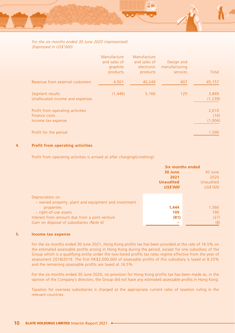### For the six months ended 30 June 2020 (represented) (Expressed in US\$'000)

|                                                                         | Manufacture<br>and sales of<br>graphite<br>products | Manufacture<br>and sales of<br>electronic<br>products | Design and<br>manufacturing<br>services | Total                    |
|-------------------------------------------------------------------------|-----------------------------------------------------|-------------------------------------------------------|-----------------------------------------|--------------------------|
| Revenue from external customers                                         | 4,501                                               | 40,249                                                | 407                                     | 45,157                   |
| Segment results<br>Unallocated income and expenses                      | (1,446)                                             | 5,166                                                 | 129                                     | 3,849<br>(1, 239)        |
| Profit from operating activities<br>Finance costs<br>Income tax expense |                                                     |                                                       |                                         | 2,610<br>(16)<br>(1,004) |
| Profit for the period                                                   |                                                     |                                                       |                                         | 1,590                    |

### **4. Profit from operating activities**

Profit from operating activities is arrived at after charging/(crediting):

|                                                      | <b>Six months ended</b> |                  |
|------------------------------------------------------|-------------------------|------------------|
|                                                      | 30 June                 | 30 June          |
|                                                      | 2021                    | 2020             |
|                                                      | <b>Unaudited</b>        | <b>Unaudited</b> |
|                                                      | <b>US\$'000</b>         | US\$'000         |
|                                                      |                         |                  |
| Depreciation on                                      |                         |                  |
| - owned property, plant and equipment and investment |                         |                  |
| properties                                           | 1,444                   | 1,566            |
| - right-of-use assets                                | 109                     | 190              |
| Interest from amount due from a joint venture        | (81)                    | (27)             |
| Gain on disposal of subsidiaries (Note 6)            |                         | (8)              |

### **5. Income tax expense**

For the six months ended 30 June 2021, Hong Kong profits tax has been provided at the rate of 16.5% on the estimated assessable profits arising in Hong Kong during the period, except for one subsidiary of the Group which is a qualifying entity under the two-tiered profits tax rates regime effective from the year of assessment 2018/2019. The first HK\$2,000,000 of assessable profits of this subsidiary is taxed at 8.25% and the remaining assessable profits are taxed at 16.5%.

For the six months ended 30 June 2020, no provision for Hong Kong profits tax has been made as, in the opinion of the Company's directors, the Group did not have any estimated assessable profits in Hong Kong.

Taxation for overseas subsidiaries is charged at the appropriate current rates of taxation ruling in the relevant countries.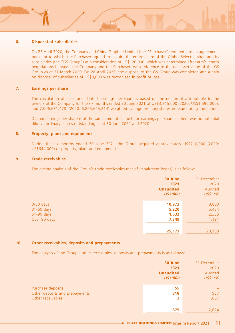### **6. Disposal of subsidiaries**

On 23 April 2020, the Company and China Graphite Limited (the "Purchaser") entered into an agreement, pursuant to which, the Purchaser agreed to acquire the entire share of the Global Select Limited and its subsidiaries (the "GS Group") at a consideration of US\$120,000, which was determined after arm's length negotiations between the Company and the Purchaser, with reference to the net asset value of the GS Group as at 31 March 2020. On 28 April 2020, the disposal of the GS Group was completed and a gain on disposal of subsidiaries of US\$8,000 was recognised in profit or loss.

### **7. Earnings per share**

The calculation of basic and diluted earnings per share is based on the net profit attributable to the owners of the Company for the six months ended 30 June 2021 of US\$3,815,000 (2020: US\$1,590,000), and 7,006,631,478 (2020: 6,865,645,214) weighted average ordinary shares in issue during the period.

Diluted earnings per share is of the same amount as the basic earnings per share as there was no potential dilutive ordinary shares outstanding as at 30 June 2021 and 2020.

### **8. Property, plant and equipment**

During the six months ended 30 June 2021 the Group acquired approximately US\$710,000 (2020: US\$644,000) of property, plant and equipment.

#### **9. Trade receivables**

The ageing analysis of the Group's trade receivables (net of impairment losses) is as follows:

|                                                         | 30 June<br>2021<br><b>Unaudited</b><br><b>US\$'000</b> | 31 December<br>2020<br>Audited<br>US\$'000 |
|---------------------------------------------------------|--------------------------------------------------------|--------------------------------------------|
| $0-30$ days<br>31-60 days<br>61-90 days<br>Over 90 days | 10,972<br>5,220<br>1,632<br>7,349                      | 8,803<br>5,434<br>2,355<br>4,191           |
|                                                         | 25,173                                                 | 20,783                                     |

#### **10. Other receivables, deposits and prepayments**

The analysis of the Group's other receivables, deposits and prepayments is as follows:

|                                | 30 June          | 31 December              |
|--------------------------------|------------------|--------------------------|
|                                | 2021             | 2020                     |
|                                | <b>Unaudited</b> | Audited                  |
|                                | <b>US\$'000</b>  | US\$'000                 |
| Purchase deposits              | 55               | $\overline{\phantom{0}}$ |
| Other deposits and prepayments | 818              | 957                      |
| Other receivables              | 2                | 1,667                    |
|                                |                  |                          |
|                                | 875              | 2,624                    |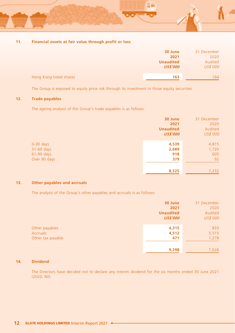

### **11. Financial assets at fair value through profit or loss**

|                         | 30 June<br>2021<br><b>Unaudited</b> | 31 December<br>2020<br>Audited |
|-------------------------|-------------------------------------|--------------------------------|
| Hong Kong listed shares | <b>US\$'000</b><br>163              | US\$'000<br>164                |

The Group is exposed to equity price risk through its investment in those equity securities.

### **12. Trade payables**

The ageing analysis of the Group's trade payables is as follows:

|              | 30 June          | 31 December |
|--------------|------------------|-------------|
|              | 2021             | 2020        |
|              | <b>Unaudited</b> | Audited     |
|              | <b>US\$'000</b>  | US\$'000    |
| $0-30$ days  | 4,539            | 4,815       |
| 31-60 days   | 2,689            | 1,720       |
| 61-90 days   | 918              | 605         |
| Over 90 days | 379              | 92          |
|              | 8,525            | 7,232       |

### **13. Other payables and accruals**

The analysis of the Group's other payables and accruals is as follows:

|                   | 30 June          | 31 December |
|-------------------|------------------|-------------|
|                   | 2021             | 2020        |
|                   | <b>Unaudited</b> | Audited     |
|                   | <b>US\$'000</b>  | US\$'000    |
|                   |                  |             |
| Other payables    | 4,315            | 833         |
| <b>Accruals</b>   | 4,512            | 5,515       |
| Other tax payable | 471              | 1,278       |
|                   |                  |             |
|                   | 9,298            | 7,626       |

### **14. Dividend**

The Directors have decided not to declare any interim dividend for the six months ended 30 June 2021 (2020: Nil).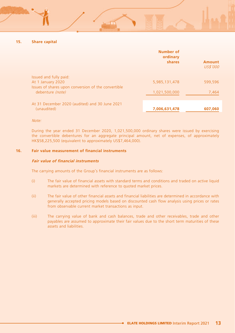### **15. Share capital**

|                                                                                                                        | Number of<br>ordinary<br>shares | <b>Amount</b><br>US\$'000 |
|------------------------------------------------------------------------------------------------------------------------|---------------------------------|---------------------------|
| Issued and fully paid:<br>At 1 January 2020<br>Issues of shares upon conversion of the convertible<br>debenture (note) | 5,985,131,478<br>1,021,500,000  | 599.596<br>7,464          |
| At 31 December 2020 (audited) and 30 June 2021<br>(unaudited)                                                          | 7,006,631,478                   | 607.060                   |

Note:

During the year ended 31 December 2020, 1,021,500,000 ordinary shares were issued by exercising the convertible debentures for an aggregate principal amount, net of expenses, of approximately HK\$58,225,500 (equivalent to approximately US\$7,464,000).

#### **16. Fair value measurement of financial instruments**

#### **Fair value of financial instruments**

The carrying amounts of the Group's financial instruments are as follows:

- (i) The fair value of financial assets with standard terms and conditions and traded on active liquid markets are determined with reference to quoted market prices.
- (ii) The fair value of other financial assets and financial liabilities are determined in accordance with generally accepted pricing models based on discounted cash flow analysis using prices or rates from observable current market transactions as input.
- (iii) The carrying value of bank and cash balances, trade and other receivables, trade and other payables are assumed to approximate their fair values due to the short term maturities of these assets and liabilities.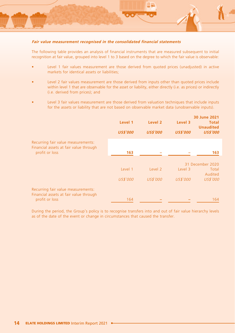

#### **Fair value measurement recognised in the consolidated financial statements**

The following table provides an analysis of financial instruments that are measured subsequent to initial recognition at fair value, grouped into level 1 to 3 based on the degree to which the fair value is observable:

- Level 1 fair values measurement are those derived from quoted prices (unadjusted) in active markets for identical assets or liabilities;
- Level 2 fair values measurement are those derived from inputs other than quoted prices include within level 1 that are observable for the asset or liability, either directly (i.e. as prices) or indirectly (i.e. derived from prices); and
- Level 3 fair values measurement are those derived from valuation techniques that include inputs for the assets or liability that are not based on observable market data (unobservable inputs).

|                                                                                                | Level 1<br><b>US\$'000</b> | Level 2<br><b>US\$'000</b>     | Level 3<br><b>US\$'000</b> | 30 June 2021<br>Total<br><b>Unaudited</b><br><b>US\$'000</b> |
|------------------------------------------------------------------------------------------------|----------------------------|--------------------------------|----------------------------|--------------------------------------------------------------|
| Recurring fair value measurements:<br>Financial assets at fair value through<br>profit or loss | 163                        |                                |                            | 163                                                          |
|                                                                                                | Level 1<br>US\$'000        | Level <sub>2</sub><br>US\$'000 | Level 3<br>US\$'000        | 31 December 2020<br>Total<br>Audited<br>US\$'000             |
| Recurring fair value measurements:<br>Financial assets at fair value through<br>profit or loss | 164                        |                                |                            | 164                                                          |

During the period, the Group's policy is to recognise transfers into and out of fair value hierarchy levels as of the date of the event or change in circumstances that caused the transfer.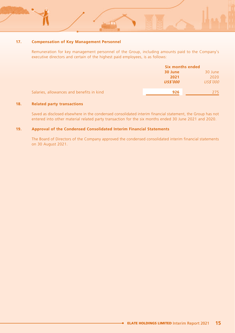### **17. Compensation of Key Management Personnel**

Remuneration for key management personnel of the Group, including amounts paid to the Company's executive directors and certain of the highest paid employees, is as follows:

|                                           | Six months ended |          |
|-------------------------------------------|------------------|----------|
|                                           | 30 June          | 30 June  |
|                                           | 2021             | 2020     |
|                                           | <b>US\$'000</b>  | US\$'000 |
|                                           |                  |          |
| Salaries, allowances and benefits in kind | 926              | 275.     |

### **18. Related party transactions**

Saved as disclosed elsewhere in the condensed consolidated interim financial statement, the Group has not entered into other material related party transaction for the six months ended 30 June 2021 and 2020.

#### **19. Approval of the Condensed Consolidated Interim Financial Statements**

The Board of Directors of the Company approved the condensed consolidated interim financial statements on 30 August 2021.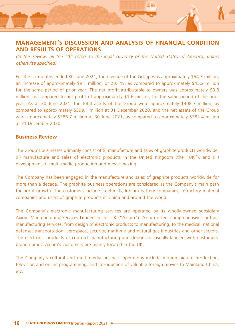# **MANAGEMENT'S DISCUSSION AND ANALYSIS OF FINANCIAL CONDITION AND RESULTS OF OPERATIONS**

(In this review, all the "\$" refers to the legal currency of the United States of America, unless otherwise specified)

For the six months ended 30 June 2021, the revenue of the Group was approximately \$54.3 million, an increase of approximately \$9.1 million, or 20.1%, as compared to approximately \$45.2 million for the same period of prior year. The net profit attributable to owners was approximately \$3.8 million, as compared to net profit of approximately \$1.6 million, for the same period of the prior year. As at 30 June 2021, the total assets of the Group were approximately \$408.7 million, as compared to approximately \$399.1 million at 31 December 2020, and the net assets of the Group were approximately \$386.7 million at 30 June 2021, as compared to approximately \$382.4 million at 31 December 2020.

### **Business Review**

The Group's businesses primarily consist of (i) manufacture and sales of graphite products worldwide, (ii) manufacture and sales of electronic products in the United Kingdom (the "UK"), and (iii) development of multi-media production and movie making.

The Company has been engaged in the manufacture and sales of graphite products worldwide for more than a decade. The graphite business operations are considered as the Company's main path for profit growth. The customers include steel mills, lithium battery companies, refractory material companies and users of graphite products in China and around the world.

The Company's electronic manufacturing services are operated by its wholly-owned subsidiary Axiom Manufacturing Services Limited in the UK ("Axiom"). Axiom offers comprehensive contract manufacturing services, from design of electronic products to manufacturing, to the medical, national defense, transportation, aerospace, security, maritime and natural gas industries and other sectors. The electronic products of contract manufacturing and design are usually labeled with customers' brand names. Axiom's customers are mainly located in the UK.

The Company's cultural and multi-media business operations include motion picture production, television and online programming, and introduction of valuable foreign movies to Mainland China, etc.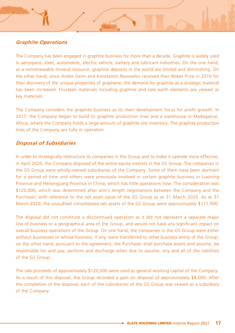# **Graphite Operations**

The Company has been engaged in graphite business for more than a decade. Graphite is widely used in aerospace, steel, automobile, electric vehicle, battery and lubricant industries. On the one hand, as a nonrenewable mineral resource, graphite deposits in the world are limited and diminishing. On the other hand, since Andre Geim and Konstantin Novoselov received their Nobel Prize in 2010 for their discovery of the unique properties of graphene, the demand for graphite as a strategic material has been increased. Fourteen materials including graphite and rare earth elements are viewed as key materials.

The Company considers the graphite business as its main development focus for profit growth. In 2017, the Company began to build its graphite production lines and a warehouse in Madagascar, Africa, where the Company holds a large amount of graphite ore inventory. The graphite production lines of the Company are fully in operation.

### **Disposal of Subsidiaries**

In order to strategically restructure its companies in the Group and to make it operate more effective, in April 2020, the Company disposed of the entire equity interest in the GS Group. The companies in the GS Group were wholly-owned subsidiaries of the Company. Some of them have been dormant for a period of time and others were previously involved in certain graphite business in Liaoning Province and Heilongjiang Province in China, which has little operations now. The consideration was \$120,000, which was determined after arm's length negotiations between the Company and the Purchaser, with reference to the net asset value of the GS Group as at 31 March 2020. As at 31 March 2020, the unaudited consolidated net assets of the GS Group were approximately \$111,900.

The disposal did not constitute a discontinued operation as it did not represent a separate major line of business or a geographical area of the Group, and would not have any significant impact on overall business operations of the Group. On one hand, the companies in the GS Group were either without businesses or whose business, if any, were transferred to other business entity of the Group; on the other hand, pursuant to the agreement, the Purchaser shall purchase assets and assume, be responsible for and pay, perform and discharge when due to assume, any and all of the liabilities of the GS Group.

The sale proceeds of approximately \$120,000 were used as general working capital of the Company. As a result of this disposal, the Group recorded a gain on disposal of approximately \$8,000. After the completion of the disposal, each of the subsidiaries of the GS Group was ceased as a subsidiary of the Company.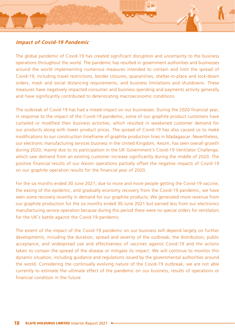

# **Impact of Covid-19 Pandemic**

The global pandemic of Covid-19 has created significant disruption and uncertainty to the business operations throughout the world. The pandemic has resulted in government authorities and businesses around the world implementing numerous measures intended to contain and limit the spread of Covid-19, including travel restrictions, border closures, quarantines, shelter-in-place and lock-down orders, mask and social distancing requirements, and business limitations and shutdowns. These measures have negatively impacted consumer and business spending and payments activity generally and have significantly contributed to deteriorating macroeconomic conditions.

The outbreak of Covid-19 has had a mixed-impact on our businesses. During the 2020 financial year, in response to the impact of the Covid-19 pandemic, some of our graphite product customers have curtailed or modified their business activities, which resulted in weakened customer demand for our products along with lower product prices. The spread of Covid-19 has also caused us to make modifications to our construction timeframe of graphite production lines in Madagascar. Nevertheless, our electronic manufacturing services business in the United Kingdom, Axiom, has seen overall growth during 2020, mainly due to its participation in the UK Government's Covid-19 Ventilator Challenge, which saw demand from an existing customer increase significantly during the middle of 2020. The positive financial results of our Axiom operations partially offset the negative impacts of Covid-19 on our graphite operation results for the financial year of 2020.

For the six months ended 30 June 2021, due to more and more people getting the Covid-19 vaccine, the easing of the epidemic, and gradually economy recovery from the Covid-19 pandemic, we have seen some recovery recently in demand for our graphite products. We generated more revenue from our graphite production for the six months ended 30 June 2021 but earned less from our electronics manufacturing service operation because during this period there were no special orders for ventilators for the UK's battle against the Covid-19 pandemic.

The extent of the impact of the Covid-19 pandemic on our business will depend largely on further developments, including the duration, spread and severity of the outbreak, the distribution, public acceptance, and widespread use and effectiveness of vaccines against Covid-19 and the actions taken to contain the spread of the disease or mitigate its impact. We will continue to monitor this dynamic situation, including guidance and regulations issued by the governmental authorities around the world. Considering the continually evolving nature of the Covid-19 outbreak, we are not able currently to estimate the ultimate effect of the pandemic on our business, results of operations or financial condition in the future.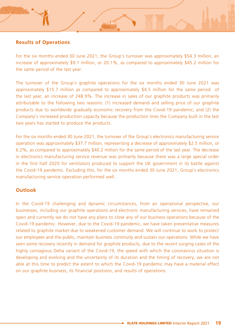# **Results of Operations**

For the six months ended 30 June 2021, the Group's turnover was approximately \$54.3 million, an increase of approximately \$9.1 million, or 20.1%, as compared to approximately \$45.2 million for the same period of the last year.

The turnover of the Group's graphite operations for the six months ended 30 June 2021 was approximately \$15.7 million as compared to approximately \$4.5 million for the same period of the last year, an increase of 248.9%. The increase in sales of our graphite products was primarily attributable to the following two reasons: (1) increased demand and selling price of our graphite products due to worldwide gradually economic recovery from the Covid-19 pandemic; and (2) the Company's increased production capacity because the production lines the Company built in the last two years has started to produce the products.

For the six months ended 30 June 2021, the turnover of the Group's electronics manufacturing service operation was approximately \$37.7 million, representing a decrease of approximately \$2.5 million, or 6.2%, as compared to approximately \$40.2 million for the same period of the last year. The decrease in electronics manufacturing service revenue was primarily because there was a large special order in the first half 2020 for ventilators produced to support the UK government in its battle against the Covid-19 pandemic. Excluding this, for the six months ended 30 June 2021, Group's electronics manufacturing service operation performed well.

### **Outlook**

In the Covid-19 challenging and dynamic circumstances, from an operational perspective, our businesses, including our graphite operations and electronic manufacturing services, have remained open and currently we do not have any plans to close any of our business operations because of the Covid-19 pandemic. However, due to the Covid-19 pandemic, we have taken preventative measures related to graphite market due to weakened customer demand. We will continue to work to protect our employees and the public, maintain business continuity and sustain our operations. While we have seen some recovery recently in demand for graphite products, due to the recent surging cases of the highly contagious Delta variant of the Covid-19, the speed with which the coronavirus situation is developing and evolving and the uncertainty of its duration and the timing of recovery, we are not able at this time to predict the extent to which the Covid-19 pandemic may have a material effect on our graphite business, its financial positions, and results of operations.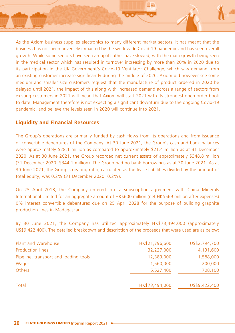

As the Axiom business supplies electronics to many different market sectors, it has meant that the business has not been adversely impacted by the worldwide Covid-19 pandemic and has seen overall growth. While some sectors have seen an uplift other have slowed, with the main growth being seen in the medical sector which has resulted in turnover increasing by more than 20% in 2020 due to its participation in the UK Government's Covid-19 Ventilator Challenge, which saw demand from an existing customer increase significantly during the middle of 2020. Axiom did however see some medium and smaller size customers request that the manufacture of product ordered in 2020 be delayed until 2021, the impact of this along with increased demand across a range of sectors from existing customers in 2021 will mean that Axiom will start 2021 with its strongest open order book to date. Management therefore is not expecting a significant downturn due to the ongoing Covid-19 pandemic, and believe the levels seen in 2020 will continue into 2021.

# **Liquidity and Financial Resources**

The Group's operations are primarily funded by cash flows from its operations and from issuance of convertible debentures of the Company. At 30 June 2021, the Group's cash and bank balances were approximately \$28.1 million as compared to approximately \$21.4 million as at 31 December 2020. As at 30 June 2021, the Group recorded net current assets of approximately \$348.8 million (31 December 2020: \$344.1 million). The Group had no bank borrowings as at 30 June 2021. As at 30 June 2021, the Group's gearing ratio, calculated as the lease liabilities divided by the amount of total equity, was 0.2% (31 December 2020: 0.2%).

On 25 April 2018, the Company entered into a subscription agreement with China Minerals International Limited for an aggregate amount of HK\$600 million (net HK\$569 million after expenses) 0% interest convertible debentures due on 25 April 2028 for the purpose of building graphite production lines in Madagascar.

By 30 June 2021, the Company has utilized approximately HK\$73,494,000 (approximately US\$9,422,400). The detailed breakdown and description of the proceeds that were used are as below:

| Plant and Warehouse                   | HK\$21,796,600 | US\$2,794,700 |
|---------------------------------------|----------------|---------------|
| <b>Production lines</b>               | 32,227,000     | 4,131,600     |
| Pipeline, transport and loading tools | 12,383,000     | 1,588,000     |
| <b>Wages</b>                          | 1,560,000      | 200,000       |
| <b>Others</b>                         | 5,527,400      | 708,100       |
| Total                                 | HK\$73,494,000 | US\$9,422,400 |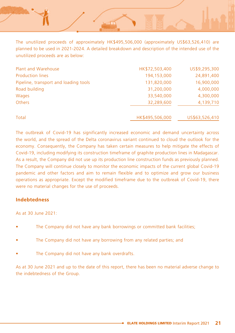The unutilized proceeds of approximately HK\$495,506,000 (approximately US\$63,526,410) are planned to be used in 2021-2024. A detailed breakdown and description of the intended use of the unutilized proceeds are as below:

| Plant and Warehouse                   | HK\$72,503,400  | US\$9,295,300  |
|---------------------------------------|-----------------|----------------|
| <b>Production lines</b>               | 194,153,000     | 24,891,400     |
| Pipeline, transport and loading tools | 131,820,000     | 16,900,000     |
| Road building                         | 31,200,000      | 4,000,000      |
| <b>Wages</b>                          | 33,540,000      | 4,300,000      |
| <b>Others</b>                         | 32,289,600      | 4,139,710      |
| Total                                 | HK\$495,506,000 | US\$63,526,410 |

The outbreak of Covid-19 has significantly increased economic and demand uncertainty across the world, and the spread of the Delta coronavirus variant continued to cloud the outlook for the economy. Consequently, the Company has taken certain measures to help mitigate the effects of Covid-19, including modifying its construction timeframe of graphite production lines in Madagascar. As a result, the Company did not use up its production line construction funds as previously planned. The Company will continue closely to monitor the economic impacts of the current global Covid-19 pandemic and other factors and aim to remain flexible and to optimize and grow our business operations as appropriate. Except the modified timeframe due to the outbreak of Covid-19, there were no material changes for the use of proceeds.

# **Indebtedness**

As at  $30 \text{ lune } 2021$ :

- The Company did not have any bank borrowings or committed bank facilities;
- The Company did not have any borrowing from any related parties; and
- The Company did not have any bank overdrafts.

As at 30 June 2021 and up to the date of this report, there has been no material adverse change to the indebtedness of the Group.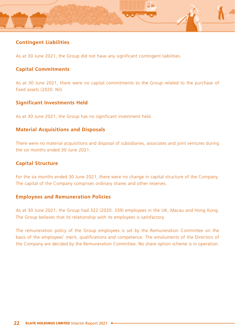

# **Contingent Liabilities**

As at 30 June 2021, the Group did not have any significant contingent liabilities.

# **Capital Commitments**

As at 30 June 2021, there were no capital commitments to the Group related to the purchase of fixed assets (2020: Nil).

# **Significant Investments Held**

As at 30 June 2021, the Group has no significant investment held.

# **Material Acquisitions and Disposals**

There were no material acquisitions and disposal of subsidiaries, associates and joint ventures during the six months ended 30 June 2021.

# **Capital Structure**

For the six months ended 30 June 2021, there were no change in capital structure of the Company. The capital of the Company comprises ordinary shares and other reserves.

# **Employees and Remuneration Policies**

As at 30 June 2021, the Group had 322 (2020: 339) employees in the UK, Macau and Hong Kong. The Group believes that its relationship with its employees is satisfactory.

The remuneration policy of the Group employees is set by the Remuneration Committee on the basis of the employees' merit, qualifications and competence. The emoluments of the Directors of the Company are decided by the Remuneration Committee. No share option scheme is in operation.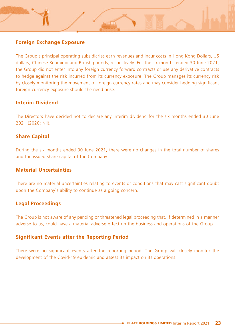# **Foreign Exchange Exposure**

The Group's principal operating subsidiaries earn revenues and incur costs in Hong Kong Dollars, US dollars, Chinese Renminbi and British pounds, respectively. For the six months ended 30 June 2021, the Group did not enter into any foreign currency forward contracts or use any derivative contracts to hedge against the risk incurred from its currency exposure. The Group manages its currency risk by closely monitoring the movement of foreign currency rates and may consider hedging significant foreign currency exposure should the need arise.

# **Interim Dividend**

The Directors have decided not to declare any interim dividend for the six months ended 30 June 2021 (2020: Nil).

# **Share Capital**

During the six months ended 30 June 2021, there were no changes in the total number of shares and the issued share capital of the Company.

# **Material Uncertainties**

There are no material uncertainties relating to events or conditions that may cast significant doubt upon the Company's ability to continue as a going concern.

### **Legal Proceedings**

The Group is not aware of any pending or threatened legal proceeding that, if determined in a manner adverse to us, could have a material adverse effect on the business and operations of the Group.

# **Significant Events after the Reporting Period**

There were no significant events after the reporting period. The Group will closely monitor the development of the Covid-19 epidemic and assess its impact on its operations.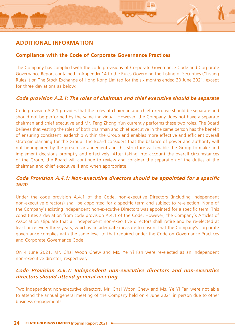

# **ADDITIONAL INFORMATION**

# **Compliance with the Code of Corporate Governance Practices**

The Company has complied with the code provisions of Corporate Governance Code and Corporate Governance Report contained in Appendix 14 to the Rules Governing the Listing of Securities ("Listing Rules") on The Stock Exchange of Hong Kong Limited for the six months ended 30 June 2021, except for three deviations as below:

# **Code provision A.2.1: The roles of chairman and chief executive should be separate**

Code provision A.2.1 provides that the roles of chairman and chief executive should be separate and should not be performed by the same individual. However, the Company does not have a separate chairman and chief executive and Mr. Feng Zhong Yun currently performs these two roles. The Board believes that vesting the roles of both chairman and chief executive in the same person has the benefit of ensuring consistent leadership within the Group and enables more effective and efficient overall strategic planning for the Group. The Board considers that the balance of power and authority will not be impaired by the present arrangement and this structure will enable the Group to make and implement decisions promptly and effectively. After taking into account the overall circumstances of the Group, the Board will continue to review and consider the separation of the duties of the chairman and chief executive if and when appropriate.

# **Code Provision A.4.1: Non-executive directors should be appointed for a specific term**

Under the code provision A.4.1 of the Code, non-executive Directors (including independent non-executive directors) shall be appointed for a specific term and subject to re-election. None of the Company's existing independent non-executive Directors was appointed for a specific term. This constitutes a deviation from code provision A.4.1 of the Code. However, the Company's Articles of Association stipulate that all independent non-executive directors shall retire and be re-elected at least once every three years, which is an adequate measure to ensure that the Company's corporate governance complies with the same level to that required under the Code on Governance Practices and Corporate Governance Code.

On 4 June 2021, Mr. Chai Woon Chew and Ms. Ye Yi Fan were re-elected as an independent non-executive director, respectively.

# **Code Provision A.6.7: Independent non-executive directors and non-executive directors should attend general meeting**

Two independent non-executive directors, Mr. Chai Woon Chew and Ms. Ye Yi Fan were not able to attend the annual general meeting of the Company held on 4 June 2021 in person due to other business engagements.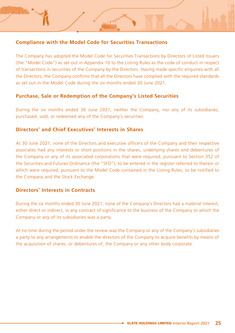# **Compliance with the Model Code for Securities Transactions**

The Company has adopted the Model Code for Securities Transactions by Directors of Listed Issuers (the "Model Code") as set out in Appendix 10 to the Listing Rules as the code of conduct in respect of transactions in securities of the Company by the Directors. Having made specific enquiries with all the Directors, the Company confirms that all the Directors have complied with the required standards as set out in the Model Code during the six months ended 30 June 2021.

# **Purchase, Sale or Redemption of the Company's Listed Securities**

During the six months ended 30 June 2021, neither the Company, nor any of its subsidiaries, purchased, sold, or redeemed any of the Company's securities.

### **Directors' and Chief Executives' Interests in Shares**

At 30 June 2021, none of the Directors and executive officers of the Company and their respective associates had any interests or short positions in the shares, underlying shares and debentures of the Company or any of its associated corporations that were required, pursuant to Section 352 of the Securities and Futures Ordinance (the "SFO"), to be entered in the register referred to therein or which were required, pursuant to the Model Code contained in the Listing Rules, to be notified to the Company and the Stock Exchange.

# **Directors' Interests in Contracts**

During the six months ended 30 June 2021, none of the Company's Directors had a material interest, either direct or indirect, in any contract of significance to the business of the Company to which the Company or any of its subsidiaries was a party.

At no time during the period under the review was the Company or any of the Company's subsidiaries a party to any arrangements to enable the directors of the Company to acquire benefits by means of the acquisition of shares, or debentures of, the Company or any other body corporate.